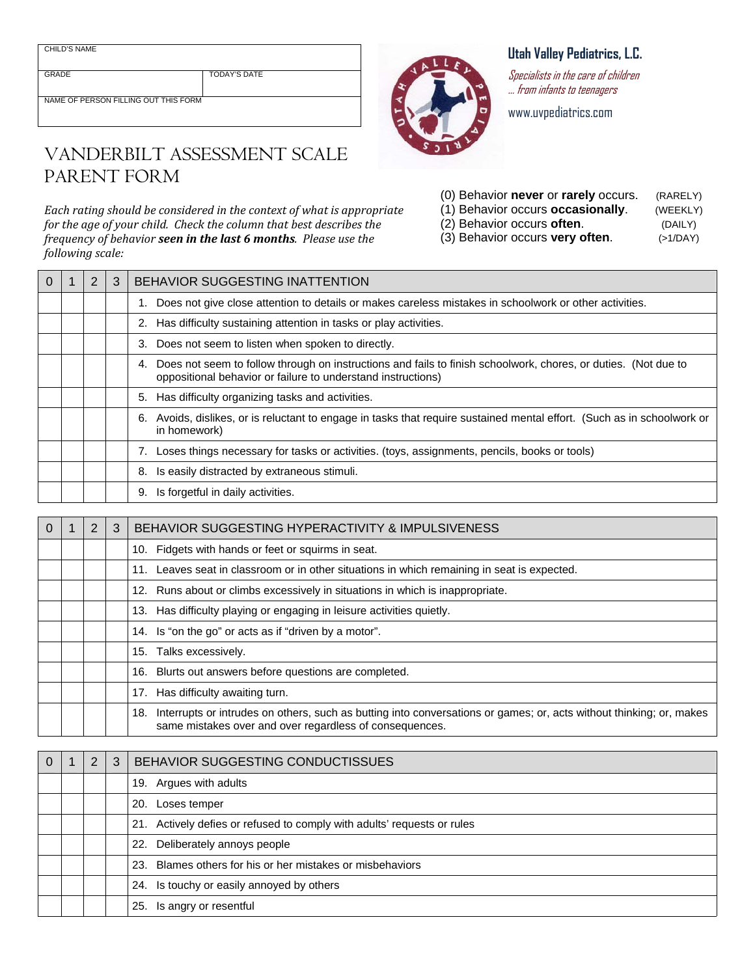CHILD'S NAME

GRADE TODAY'S DATE

NAME OF PERSON FILLING OUT THIS FORM

## VANDERBILT ASSESSMENT SCALE PARENT FORM

*Each rating should be considered in the context of what is appropriate for the age of your child. Check the column that best describes the frequency of behavior seen in the last 6 months. Please use the following scale:*

| Utah Valley Pediatrics, L.C. |  |
|------------------------------|--|
|------------------------------|--|

Specialists in the care of children … from infants to teenagers

www.uvpediatrics.com

| (0) Behavior never or rarely occurs. | (RARELY) |
|--------------------------------------|----------|
| (1) Behavior occurs occasionally.    | (WEEKLY) |
| (2) Behavior occurs often.           | (DAILY)  |
| (3) Behavior occurs very often.      | (>1/DAY) |

| $\Omega$ | 2 | 3 | BEHAVIOR SUGGESTING INATTENTION                                                                                                                                                      |  |  |  |
|----------|---|---|--------------------------------------------------------------------------------------------------------------------------------------------------------------------------------------|--|--|--|
|          |   |   | Does not give close attention to details or makes careless mistakes in schoolwork or other activities.                                                                               |  |  |  |
|          |   |   | Has difficulty sustaining attention in tasks or play activities.<br>2.                                                                                                               |  |  |  |
|          |   |   | Does not seem to listen when spoken to directly.<br>3.                                                                                                                               |  |  |  |
|          |   |   | Does not seem to follow through on instructions and fails to finish schoolwork, chores, or duties. (Not due to<br>4.<br>oppositional behavior or failure to understand instructions) |  |  |  |
|          |   |   | Has difficulty organizing tasks and activities.<br>5.                                                                                                                                |  |  |  |
|          |   |   | Avoids, dislikes, or is reluctant to engage in tasks that require sustained mental effort. (Such as in schoolwork or<br>6.<br>in homework)                                           |  |  |  |
|          |   |   | 7. Loses things necessary for tasks or activities. (toys, assignments, pencils, books or tools)                                                                                      |  |  |  |
|          |   |   | Is easily distracted by extraneous stimuli.<br>8.                                                                                                                                    |  |  |  |
|          |   |   | Is forgetful in daily activities.<br>9.                                                                                                                                              |  |  |  |

| $\Omega$ | 2 | 3 | BEHAVIOR SUGGESTING HYPERACTIVITY & IMPULSIVENESS                                                                                                                                     |
|----------|---|---|---------------------------------------------------------------------------------------------------------------------------------------------------------------------------------------|
|          |   |   | 10. Fidgets with hands or feet or squirms in seat.                                                                                                                                    |
|          |   |   | 11. Leaves seat in classroom or in other situations in which remaining in seat is expected.                                                                                           |
|          |   |   | 12. Runs about or climbs excessively in situations in which is inappropriate.                                                                                                         |
|          |   |   | 13. Has difficulty playing or engaging in leisure activities quietly.                                                                                                                 |
|          |   |   | 14. Is "on the go" or acts as if "driven by a motor".                                                                                                                                 |
|          |   |   | 15. Talks excessively.                                                                                                                                                                |
|          |   |   | 16. Blurts out answers before questions are completed.                                                                                                                                |
|          |   |   | 17. Has difficulty awaiting turn.                                                                                                                                                     |
|          |   |   | Interrupts or intrudes on others, such as butting into conversations or games; or, acts without thinking; or, makes<br>18.<br>same mistakes over and over regardless of consequences. |

|  | $\mathcal{P}$ | 3 | BEHAVIOR SUGGESTING CONDUCTISSUES                                       |  |  |  |
|--|---------------|---|-------------------------------------------------------------------------|--|--|--|
|  |               |   | 19. Argues with adults                                                  |  |  |  |
|  |               |   | Loses temper<br>20.                                                     |  |  |  |
|  |               |   | 21. Actively defies or refused to comply with adults' requests or rules |  |  |  |
|  |               |   | 22. Deliberately annoys people                                          |  |  |  |
|  |               |   | 23. Blames others for his or her mistakes or misbehaviors               |  |  |  |
|  |               |   | 24. Is touchy or easily annoyed by others                               |  |  |  |
|  |               |   | 25. Is angry or resentful                                               |  |  |  |